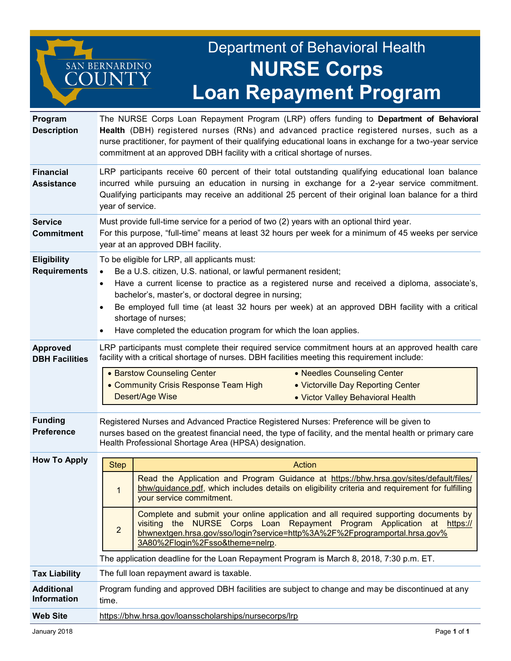## Department of Behavioral Health **NURSE Corps Loan Repayment Program**

| Program<br><b>Description</b>             | The NURSE Corps Loan Repayment Program (LRP) offers funding to Department of Behavioral<br>Health (DBH) registered nurses (RNs) and advanced practice registered nurses, such as a<br>nurse practitioner, for payment of their qualifying educational loans in exchange for a two-year service<br>commitment at an approved DBH facility with a critical shortage of nurses.                                                                                                       |                                                                                                                                                                                                                                                                                  |  |
|-------------------------------------------|------------------------------------------------------------------------------------------------------------------------------------------------------------------------------------------------------------------------------------------------------------------------------------------------------------------------------------------------------------------------------------------------------------------------------------------------------------------------------------|----------------------------------------------------------------------------------------------------------------------------------------------------------------------------------------------------------------------------------------------------------------------------------|--|
| <b>Financial</b><br><b>Assistance</b>     | LRP participants receive 60 percent of their total outstanding qualifying educational loan balance<br>incurred while pursuing an education in nursing in exchange for a 2-year service commitment.<br>Qualifying participants may receive an additional 25 percent of their original loan balance for a third<br>year of service.                                                                                                                                                  |                                                                                                                                                                                                                                                                                  |  |
| <b>Service</b><br><b>Commitment</b>       | Must provide full-time service for a period of two (2) years with an optional third year.<br>For this purpose, "full-time" means at least 32 hours per week for a minimum of 45 weeks per service<br>year at an approved DBH facility.                                                                                                                                                                                                                                             |                                                                                                                                                                                                                                                                                  |  |
| <b>Eligibility</b><br><b>Requirements</b> | To be eligible for LRP, all applicants must:<br>Be a U.S. citizen, U.S. national, or lawful permanent resident;<br>Have a current license to practice as a registered nurse and received a diploma, associate's,<br>$\bullet$<br>bachelor's, master's, or doctoral degree in nursing;<br>Be employed full time (at least 32 hours per week) at an approved DBH facility with a critical<br>shortage of nurses;<br>Have completed the education program for which the loan applies. |                                                                                                                                                                                                                                                                                  |  |
| <b>Approved</b><br><b>DBH Facilities</b>  | LRP participants must complete their required service commitment hours at an approved health care<br>facility with a critical shortage of nurses. DBH facilities meeting this requirement include:<br>• Barstow Counseling Center<br>• Needles Counseling Center<br>• Community Crisis Response Team High<br>• Victorville Day Reporting Center<br>Desert/Age Wise<br>• Victor Valley Behavioral Health                                                                            |                                                                                                                                                                                                                                                                                  |  |
| <b>Funding</b><br><b>Preference</b>       | Registered Nurses and Advanced Practice Registered Nurses: Preference will be given to<br>nurses based on the greatest financial need, the type of facility, and the mental health or primary care<br>Health Professional Shortage Area (HPSA) designation.                                                                                                                                                                                                                        |                                                                                                                                                                                                                                                                                  |  |
| <b>How To Apply</b>                       | <b>Step</b>                                                                                                                                                                                                                                                                                                                                                                                                                                                                        | Action                                                                                                                                                                                                                                                                           |  |
|                                           | $\mathbf{1}$                                                                                                                                                                                                                                                                                                                                                                                                                                                                       | Read the Application and Program Guidance at https://bhw.hrsa.gov/sites/default/files/<br>bhw/guidance.pdf, which includes details on eligibility criteria and requirement for fulfilling<br>your service commitment.                                                            |  |
|                                           | $\overline{2}$                                                                                                                                                                                                                                                                                                                                                                                                                                                                     | Complete and submit your online application and all required supporting documents by<br>visiting the NURSE Corps Loan Repayment Program Application at https://<br>bhwnextgen.hrsa.gov/sso/login?service=http%3A%2F%2Fprogramportal.hrsa.gov%<br>3A80%2Flogin%2Fsso&theme=nelrp. |  |
|                                           |                                                                                                                                                                                                                                                                                                                                                                                                                                                                                    | The application deadline for the Loan Repayment Program is March 8, 2018, 7:30 p.m. ET.                                                                                                                                                                                          |  |
| <b>Tax Liability</b>                      | The full loan repayment award is taxable.                                                                                                                                                                                                                                                                                                                                                                                                                                          |                                                                                                                                                                                                                                                                                  |  |
| <b>Additional</b><br><b>Information</b>   | Program funding and approved DBH facilities are subject to change and may be discontinued at any<br>time.                                                                                                                                                                                                                                                                                                                                                                          |                                                                                                                                                                                                                                                                                  |  |
| <b>Web Site</b>                           | https://bhw.hrsa.gov/loansscholarships/nursecorps/lrp                                                                                                                                                                                                                                                                                                                                                                                                                              |                                                                                                                                                                                                                                                                                  |  |

SAN BERNARDINO